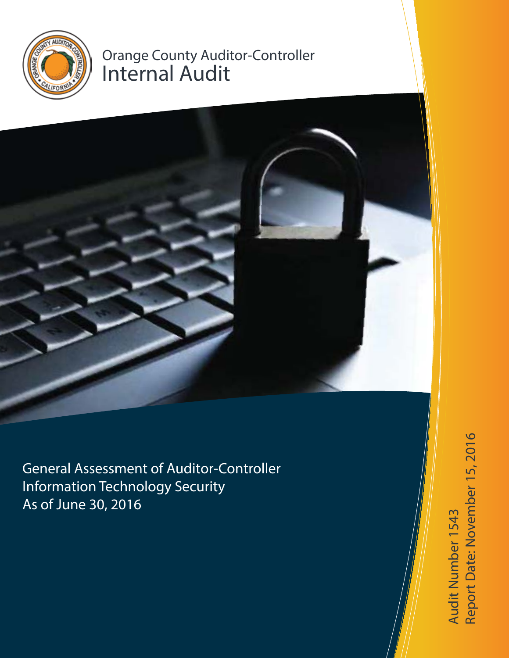

# Orange County Auditor-Controller Internal Audit



Audit Number 1543<br>Report Date: November 15, 2016 Report Date: November 15, 2016Audit Number 1543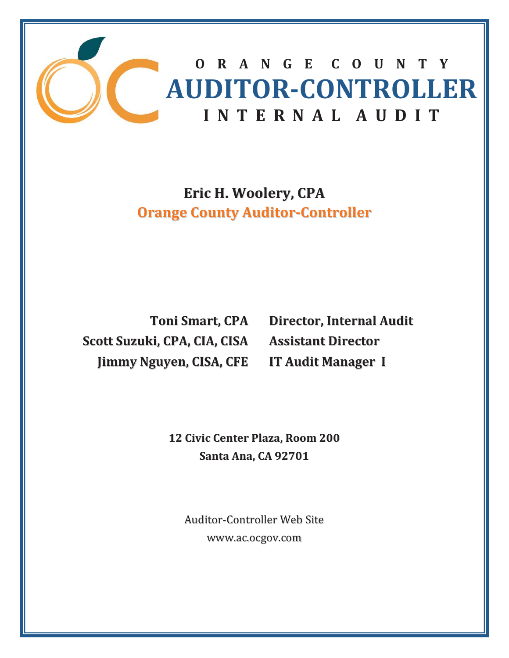

**Eric H. Woolery, CPA Orange County Auditor-Controller** 

**Toni Smart, CPA Scott Suzuki, CPA, CIA, CISA Jimmy Nguyen, CISA, CFE**

**Director, Internal Audit Assistant Director IT Audit Manager I**

 **12 Civic Center Plaza, Room 200 Santa Ana, CA 92701**

Auditor-Controller Web Site www.ac.ocgov.com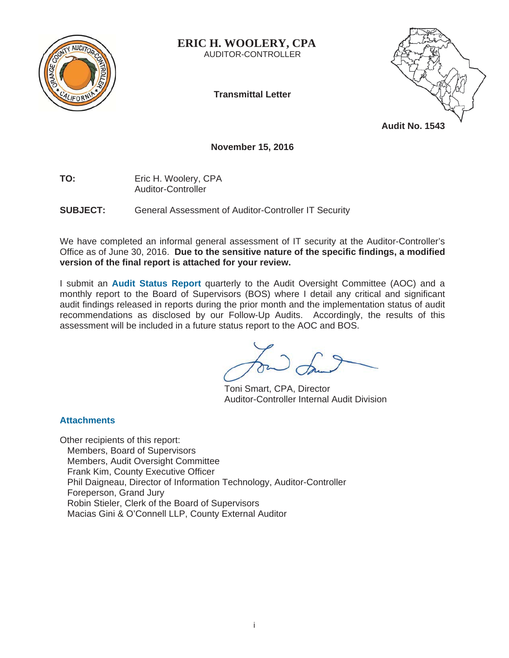

**ERIC H. WOOLERY, CPA**  AUDITOR-CONTROLLER

**Transmittal Letter** 



**Audit No. 1543** 

# **November 15, 2016**

**TO:** Eric H. Woolery, CPA Auditor-Controller

**SUBJECT:** General Assessment of Auditor-Controller IT Security

We have completed an informal general assessment of IT security at the Auditor-Controller's Office as of June 30, 2016. **Due to the sensitive nature of the specific findings, a modified version of the final report is attached for your review.**

I submit an **Audit Status Report** quarterly to the Audit Oversight Committee (AOC) and a monthly report to the Board of Supervisors (BOS) where I detail any critical and significant audit findings released in reports during the prior month and the implementation status of audit recommendations as disclosed by our Follow-Up Audits. Accordingly, the results of this assessment will be included in a future status report to the AOC and BOS.

 Toni Smart, CPA, Director Auditor-Controller Internal Audit Division

# **Attachments**

Other recipients of this report: Members, Board of Supervisors Members, Audit Oversight Committee Frank Kim, County Executive Officer Phil Daigneau, Director of Information Technology, Auditor-Controller Foreperson, Grand Jury Robin Stieler, Clerk of the Board of Supervisors Macias Gini & O'Connell LLP, County External Auditor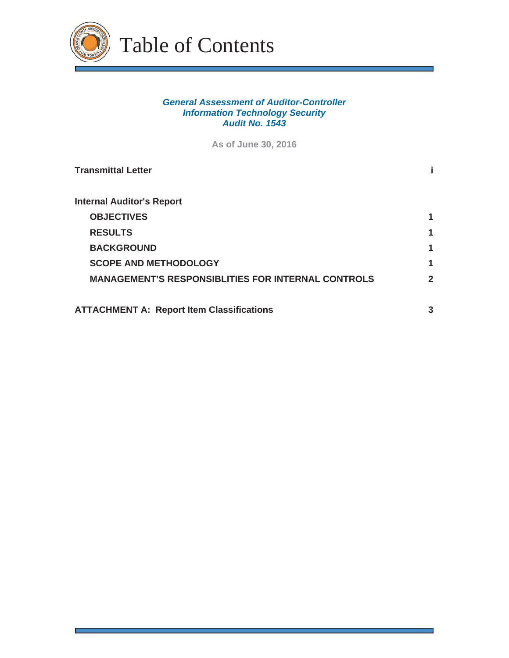

# *General Assessment of Auditor-Controller Information Technology Security Audit No. 1543*

**As of June 30, 2016**

| <b>Transmittal Letter</b>                                 |              |
|-----------------------------------------------------------|--------------|
| <b>Internal Auditor's Report</b>                          |              |
| <b>OBJECTIVES</b>                                         |              |
| <b>RESULTS</b>                                            | 1            |
| <b>BACKGROUND</b>                                         | 1            |
| <b>SCOPE AND METHODOLOGY</b>                              | 1            |
| <b>MANAGEMENT'S RESPONSIBLITIES FOR INTERNAL CONTROLS</b> | $\mathbf{2}$ |
| <b>ATTACHMENT A: Report Item Classifications</b>          | 3            |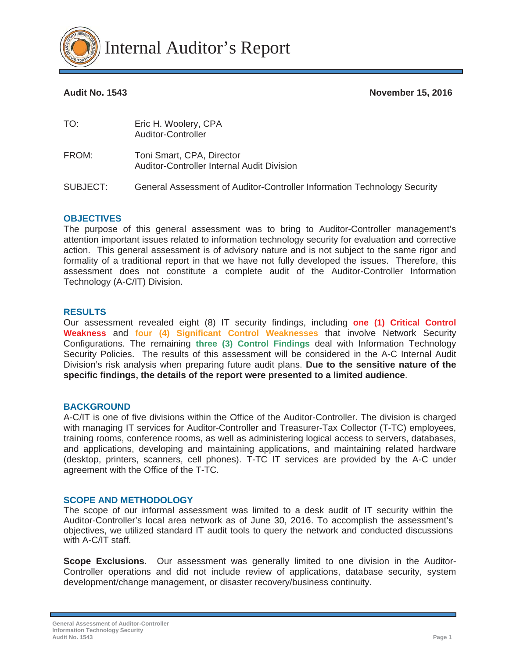

**Audit No. 1543 November 15, 2016** 

| TO:      | Eric H. Woolery, CPA<br>Auditor-Controller                                     |
|----------|--------------------------------------------------------------------------------|
| FROM:    | Toni Smart, CPA, Director<br><b>Auditor-Controller Internal Audit Division</b> |
| SUBJECT: | General Assessment of Auditor-Controller Information Technology Security       |

#### **OBJECTIVES**

The purpose of this general assessment was to bring to Auditor-Controller management's attention important issues related to information technology security for evaluation and corrective action. This general assessment is of advisory nature and is not subject to the same rigor and formality of a traditional report in that we have not fully developed the issues. Therefore, this assessment does not constitute a complete audit of the Auditor-Controller Information Technology (A-C/IT) Division.

#### **RESULTS**

Our assessment revealed eight (8) IT security findings, including **one (1) Critical Control Weakness** and **four (4) Significant Control Weaknesses** that involve Network Security Configurations. The remaining **three (3) Control Findings** deal with Information Technology Security Policies. The results of this assessment will be considered in the A-C Internal Audit Division's risk analysis when preparing future audit plans. **Due to the sensitive nature of the specific findings, the details of the report were presented to a limited audience**.

### **BACKGROUND**

A-C/IT is one of five divisions within the Office of the Auditor-Controller. The division is charged with managing IT services for Auditor-Controller and Treasurer-Tax Collector (T-TC) employees, training rooms, conference rooms, as well as administering logical access to servers, databases, and applications, developing and maintaining applications, and maintaining related hardware (desktop, printers, scanners, cell phones). T-TC IT services are provided by the A-C under agreement with the Office of the T-TC.

#### **SCOPE AND METHODOLOGY**

The scope of our informal assessment was limited to a desk audit of IT security within the Auditor-Controller's local area network as of June 30, 2016. To accomplish the assessment's objectives, we utilized standard IT audit tools to query the network and conducted discussions with A-C/IT staff.

**Scope Exclusions.** Our assessment was generally limited to one division in the Auditor-Controller operations and did not include review of applications, database security, system development/change management, or disaster recovery/business continuity.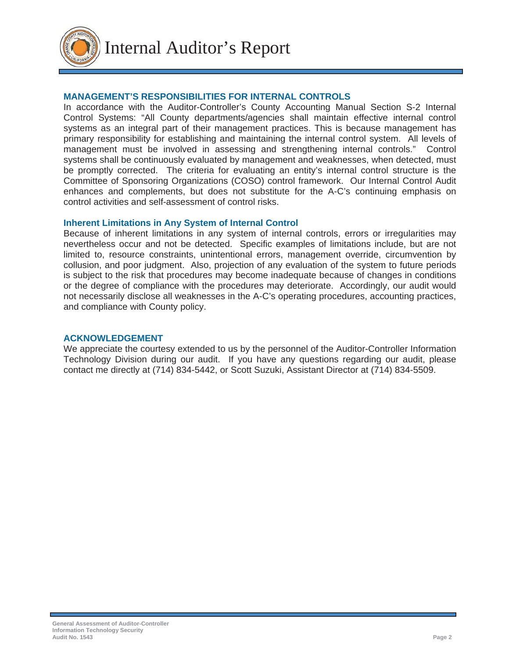

# **MANAGEMENT'S RESPONSIBILITIES FOR INTERNAL CONTROLS**

In accordance with the Auditor-Controller's County Accounting Manual Section S-2 Internal Control Systems: "All County departments/agencies shall maintain effective internal control systems as an integral part of their management practices. This is because management has primary responsibility for establishing and maintaining the internal control system. All levels of management must be involved in assessing and strengthening internal controls." Control systems shall be continuously evaluated by management and weaknesses, when detected, must be promptly corrected. The criteria for evaluating an entity's internal control structure is the Committee of Sponsoring Organizations (COSO) control framework. Our Internal Control Audit enhances and complements, but does not substitute for the A-C's continuing emphasis on control activities and self-assessment of control risks.

# **Inherent Limitations in Any System of Internal Control**

Because of inherent limitations in any system of internal controls, errors or irregularities may nevertheless occur and not be detected. Specific examples of limitations include, but are not limited to, resource constraints, unintentional errors, management override, circumvention by collusion, and poor judgment. Also, projection of any evaluation of the system to future periods is subject to the risk that procedures may become inadequate because of changes in conditions or the degree of compliance with the procedures may deteriorate. Accordingly, our audit would not necessarily disclose all weaknesses in the A-C's operating procedures, accounting practices, and compliance with County policy.

# **ACKNOWLEDGEMENT**

We appreciate the courtesy extended to us by the personnel of the Auditor-Controller Information Technology Division during our audit. If you have any questions regarding our audit, please contact me directly at (714) 834-5442, or Scott Suzuki, Assistant Director at (714) 834-5509.